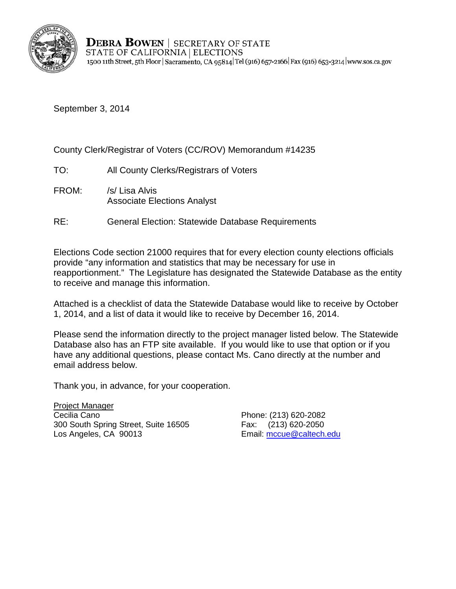

September 3, 2014

County Clerk/Registrar of Voters (CC/ROV) Memorandum #14235

- TO: All County Clerks/Registrars of Voters
- FROM: /s/ Lisa Alvis Associate Elections Analyst
- RE: General Election: Statewide Database Requirements

Elections Code section 21000 requires that for every election county elections officials provide "any information and statistics that may be necessary for use in reapportionment." The Legislature has designated the Statewide Database as the entity to receive and manage this information.

Attached is a checklist of data the Statewide Database would like to receive by October 1, 2014, and a list of data it would like to receive by December 16, 2014.

Please send the information directly to the project manager listed below. The Statewide Database also has an FTP site available. If you would like to use that option or if you have any additional questions, please contact Ms. Cano directly at the number and email address below.

Thank you, in advance, for your cooperation.

Project Manager Cecilia Cano **Phone: (213) 620-2082** 300 South Spring Street, Suite 16505<br>
Los Angeles, CA 90013<br>
Email: mccue@caltech.

Email: mccue@caltech.edu